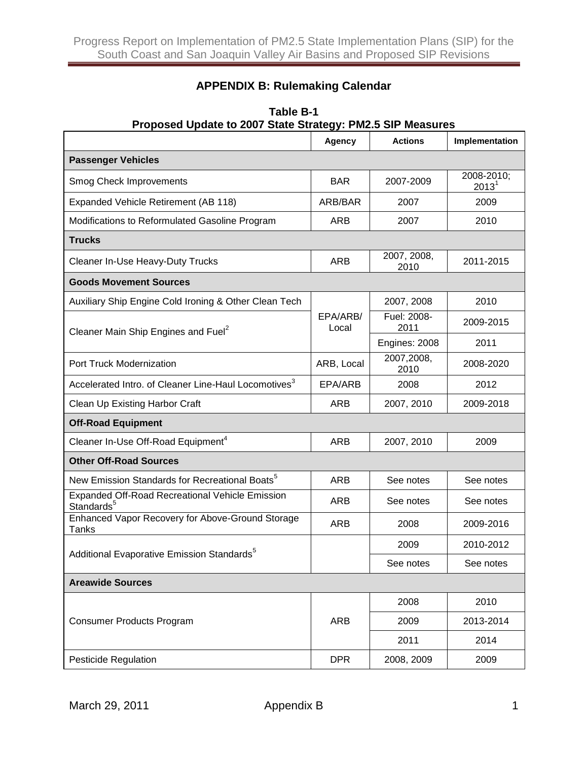## **APPENDIX B: Rulemaking Calendar**

| Proposed Update to 2007 State Strategy: PMZ.5 SIP Measures                       |                   |                     |                                 |
|----------------------------------------------------------------------------------|-------------------|---------------------|---------------------------------|
|                                                                                  | Agency            | <b>Actions</b>      | Implementation                  |
| <b>Passenger Vehicles</b>                                                        |                   |                     |                                 |
| Smog Check Improvements                                                          | <b>BAR</b>        | 2007-2009           | 2008-2010;<br>2013 <sup>1</sup> |
| Expanded Vehicle Retirement (AB 118)                                             | ARB/BAR           | 2007                | 2009                            |
| Modifications to Reformulated Gasoline Program                                   | ARB               | 2007                | 2010                            |
| <b>Trucks</b>                                                                    |                   |                     |                                 |
| Cleaner In-Use Heavy-Duty Trucks                                                 | <b>ARB</b>        | 2007, 2008,<br>2010 | 2011-2015                       |
| <b>Goods Movement Sources</b>                                                    |                   |                     |                                 |
| Auxiliary Ship Engine Cold Ironing & Other Clean Tech                            | EPA/ARB/<br>Local | 2007, 2008          | 2010                            |
| Cleaner Main Ship Engines and Fuel <sup>2</sup>                                  |                   | Fuel: 2008-<br>2011 | 2009-2015                       |
|                                                                                  |                   | Engines: 2008       | 2011                            |
| Port Truck Modernization                                                         | ARB, Local        | 2007,2008,<br>2010  | 2008-2020                       |
| Accelerated Intro. of Cleaner Line-Haul Locomotives <sup>3</sup>                 | EPA/ARB           | 2008                | 2012                            |
| Clean Up Existing Harbor Craft                                                   | <b>ARB</b>        | 2007, 2010          | 2009-2018                       |
| <b>Off-Road Equipment</b>                                                        |                   |                     |                                 |
| Cleaner In-Use Off-Road Equipment <sup>4</sup>                                   | ARB               | 2007, 2010          | 2009                            |
| <b>Other Off-Road Sources</b>                                                    |                   |                     |                                 |
| New Emission Standards for Recreational Boats <sup>5</sup>                       | <b>ARB</b>        | See notes           | See notes                       |
| <b>Expanded Off-Road Recreational Vehicle Emission</b><br>Standards <sup>5</sup> | ARB               | See notes           | See notes                       |
| Enhanced Vapor Recovery for Above-Ground Storage<br>Tanks                        | <b>ARB</b>        | 2008                | 2009-2016                       |
| Additional Evaporative Emission Standards <sup>5</sup>                           |                   | 2009                | 2010-2012                       |
|                                                                                  |                   | See notes           | See notes                       |
| <b>Areawide Sources</b>                                                          |                   |                     |                                 |
| Consumer Products Program                                                        | <b>ARB</b>        | 2008                | 2010                            |
|                                                                                  |                   | 2009                | 2013-2014                       |
|                                                                                  |                   | 2011                | 2014                            |
| Pesticide Regulation                                                             | <b>DPR</b>        | 2008, 2009          | 2009                            |

## **Table B-1 Proposed Update to 2007 State Strategy: PM2.5 SIP Measures**